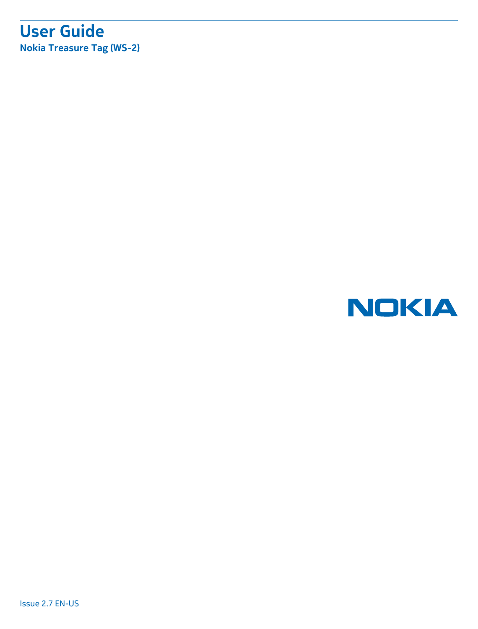## **User Guide Nokia Treasure Tag (WS-2)**

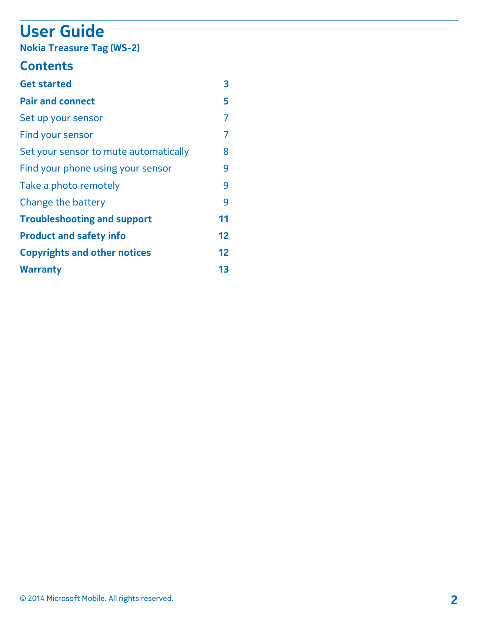# **User Guide**

**Nokia Treasure Tag (WS-2)**

## **Contents**

| <b>Get started</b>                    | 3  |
|---------------------------------------|----|
| <b>Pair and connect</b>               | 5  |
| Set up your sensor                    | 7  |
| Find your sensor                      | 7  |
| Set your sensor to mute automatically | 8  |
| Find your phone using your sensor     | 9  |
| Take a photo remotely                 | q  |
| Change the battery                    | q  |
| <b>Troubleshooting and support</b>    | 11 |
| <b>Product and safety info</b>        | 12 |
| <b>Copyrights and other notices</b>   | 12 |
| <b>Warranty</b>                       | 13 |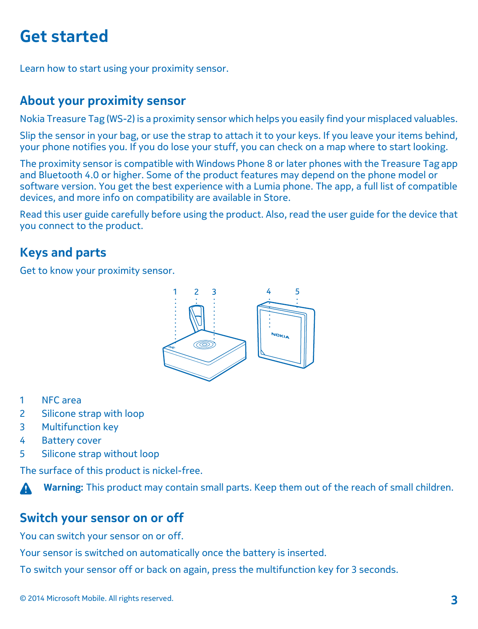## <span id="page-2-0"></span>**Get started**

Learn how to start using your proximity sensor.

## **About your proximity sensor**

Nokia Treasure Tag (WS-2) is a proximity sensor which helps you easily find your misplaced valuables.

Slip the sensor in your bag, or use the strap to attach it to your keys. If you leave your items behind, your phone notifies you. If you do lose your stuff, you can check on a map where to start looking.

The proximity sensor is compatible with Windows Phone 8 or later phones with the Treasure Tag app and Bluetooth 4.0 or higher. Some of the product features may depend on the phone model or software version. You get the best experience with a Lumia phone. The app, a full list of compatible devices, and more info on compatibility are available in Store.

Read this user guide carefully before using the product. Also, read the user guide for the device that you connect to the product.

## **Keys and parts**

Get to know your proximity sensor.



- 1 NFC area
- 2 Silicone strap with loop
- 3 Multifunction key
- 4 Battery cover
- 5 Silicone strap without loop

The surface of this product is nickel-free.

**Warning:** This product may contain small parts. Keep them out of the reach of small children.

### **Switch your sensor on or off**

You can switch your sensor on or off.

Your sensor is switched on automatically once the battery is inserted.

To switch your sensor off or back on again, press the multifunction key for 3 seconds.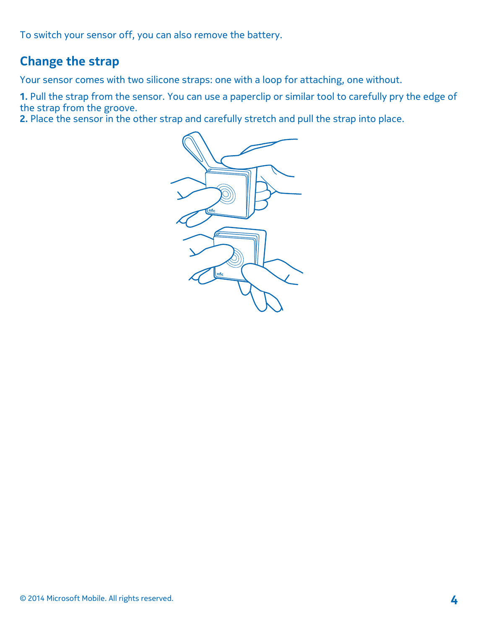To switch your sensor off, you can also remove the battery.

## **Change the strap**

Your sensor comes with two silicone straps: one with a loop for attaching, one without.

**1.** Pull the strap from the sensor. You can use a paperclip or similar tool to carefully pry the edge of the strap from the groove.

**2.** Place the sensor in the other strap and carefully stretch and pull the strap into place.

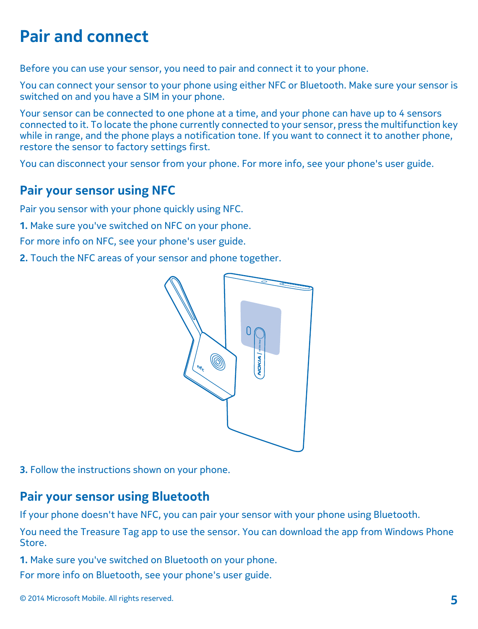## <span id="page-4-0"></span>**Pair and connect**

Before you can use your sensor, you need to pair and connect it to your phone.

You can connect your sensor to your phone using either NFC or Bluetooth. Make sure your sensor is switched on and you have a SIM in your phone.

Your sensor can be connected to one phone at a time, and your phone can have up to 4 sensors connected to it. To locate the phone currently connected to your sensor, press the multifunction key while in range, and the phone plays a notification tone. If you want to connect it to another phone, restore the sensor to factory settings first.

You can disconnect your sensor from your phone. For more info, see your phone's user guide.

## **Pair your sensor using NFC**

Pair you sensor with your phone quickly using NFC.

**1.** Make sure you've switched on NFC on your phone.

For more info on NFC, see your phone's user guide.

**2.** Touch the NFC areas of your sensor and phone together.



**3.** Follow the instructions shown on your phone.

## **Pair your sensor using Bluetooth**

If your phone doesn't have NFC, you can pair your sensor with your phone using Bluetooth.

You need the Treasure Tag app to use the sensor. You can download the app from Windows Phone Store.

**1.** Make sure you've switched on Bluetooth on your phone.

For more info on Bluetooth, see your phone's user guide.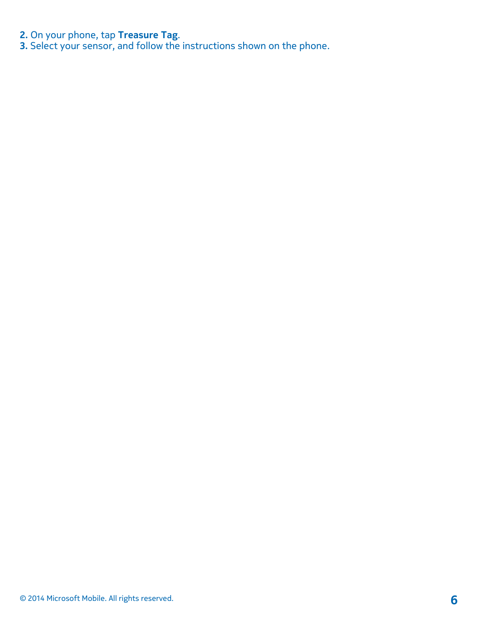**2.** On your phone, tap **Treasure Tag**.

**3.** Select your sensor, and follow the instructions shown on the phone.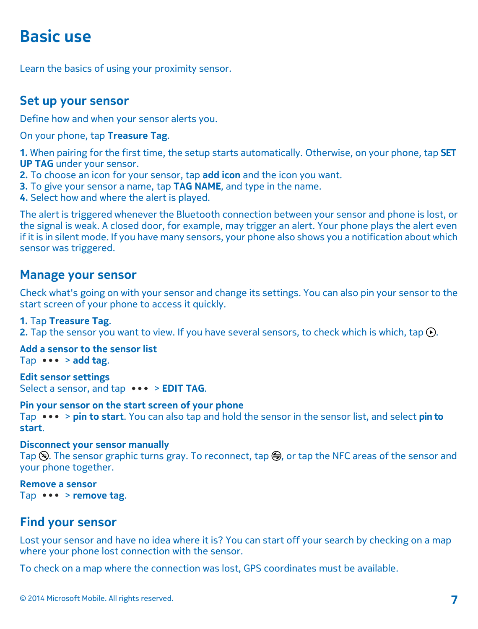## <span id="page-6-0"></span>**Basic use**

Learn the basics of using your proximity sensor.

### **Set up your sensor**

Define how and when your sensor alerts you.

On your phone, tap **Treasure Tag**.

**1.** When pairing for the first time, the setup starts automatically. Otherwise, on your phone, tap **SET UP TAG** under your sensor.

- **2.** To choose an icon for your sensor, tap **add icon** and the icon you want.
- **3.** To give your sensor a name, tap **TAG NAME**, and type in the name.
- **4.** Select how and where the alert is played.

The alert is triggered whenever the Bluetooth connection between your sensor and phone is lost, or the signal is weak. A closed door, for example, may trigger an alert. Your phone plays the alert even if it is in silent mode. If you have many sensors, your phone also shows you a notification about which sensor was triggered.

### **Manage your sensor**

Check what's going on with your sensor and change its settings. You can also pin your sensor to the start screen of your phone to access it quickly.

#### **1.** Tap **Treasure Tag**.

**2.** Tap the sensor you want to view. If you have several sensors, to check which is which, tap  $\Omega$ .

**Add a sensor to the sensor list** Tap  $\cdots$  > add tag.

**Edit sensor settings** Select a sensor, and tap  $\bullet \bullet \bullet$  > **EDIT TAG**.

**Pin your sensor on the start screen of your phone** Tap  $\bullet \bullet \bullet$  > pin to start. You can also tap and hold the sensor in the sensor list, and select pin to **start**.

#### **Disconnect your sensor manually**

Tap  $\mathcal{F}$ . The sensor graphic turns gray. To reconnect, tap  $\bigoplus$ , or tap the NFC areas of the sensor and your phone together.

#### **Remove a sensor**

Tap  $\cdots$  > remove tag.

### **Find your sensor**

Lost your sensor and have no idea where it is? You can start off your search by checking on a map where your phone lost connection with the sensor.

To check on a map where the connection was lost, GPS coordinates must be available.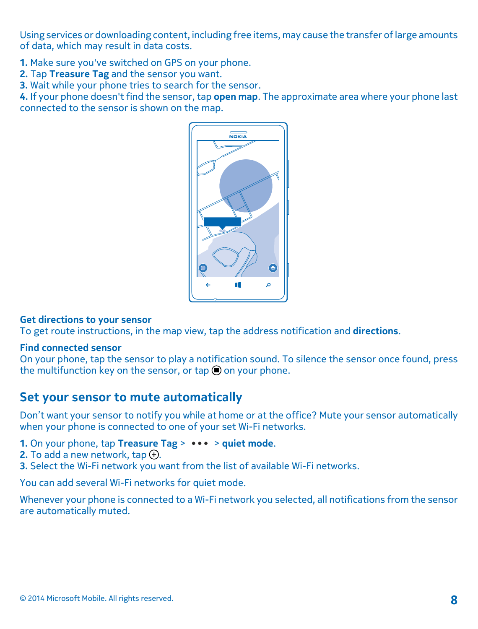<span id="page-7-0"></span>Using services or downloading content, including free items, may cause the transfer of large amounts of data, which may result in data costs.

**1.** Make sure you've switched on GPS on your phone.

**2.** Tap **Treasure Tag** and the sensor you want.

**3.** Wait while your phone tries to search for the sensor.

**4.** If your phone doesn't find the sensor, tap **open map**. The approximate area where your phone last connected to the sensor is shown on the map.



#### **Get directions to your sensor**

To get route instructions, in the map view, tap the address notification and **directions**.

#### **Find connected sensor**

On your phone, tap the sensor to play a notification sound. To silence the sensor once found, press the multifunction key on the sensor, or tap  $\bigcirc$  on your phone.

### **Set your sensor to mute automatically**

Don't want your sensor to notify you while at home or at the office? Mute your sensor automatically when your phone is connected to one of your set Wi-Fi networks.

- **1.** On your phone, tap **Treasure Tag** >  $\cdots$  > quiet mode.
- **2.** To add a new network,  $tan <sub>1</sub>$ .
- **3.** Select the Wi-Fi network you want from the list of available Wi-Fi networks.

You can add several Wi-Fi networks for quiet mode.

Whenever your phone is connected to a Wi-Fi network you selected, all notifications from the sensor are automatically muted.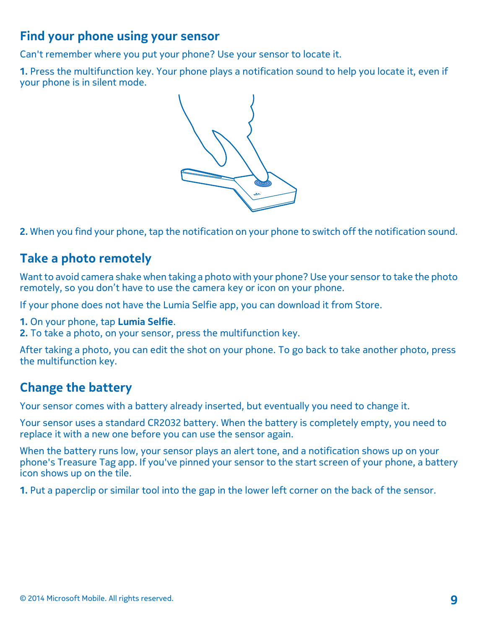## <span id="page-8-0"></span>**Find your phone using your sensor**

Can't remember where you put your phone? Use your sensor to locate it.

**1.** Press the multifunction key. Your phone plays a notification sound to help you locate it, even if your phone is in silent mode.



**2.** When you find your phone, tap the notification on your phone to switch off the notification sound.

## **Take a photo remotely**

Want to avoid camera shake when taking a photo with your phone? Use your sensor to take the photo remotely, so you don't have to use the camera key or icon on your phone.

If your phone does not have the Lumia Selfie app, you can download it from Store.

- **1.** On your phone, tap **Lumia Selfie**.
- **2.** To take a photo, on your sensor, press the multifunction key.

After taking a photo, you can edit the shot on your phone. To go back to take another photo, press the multifunction key.

## **Change the battery**

Your sensor comes with a battery already inserted, but eventually you need to change it.

Your sensor uses a standard CR2032 battery. When the battery is completely empty, you need to replace it with a new one before you can use the sensor again.

When the battery runs low, your sensor plays an alert tone, and a notification shows up on your phone's Treasure Tag app. If you've pinned your sensor to the start screen of your phone, a battery icon shows up on the tile.

**1.** Put a paperclip or similar tool into the gap in the lower left corner on the back of the sensor.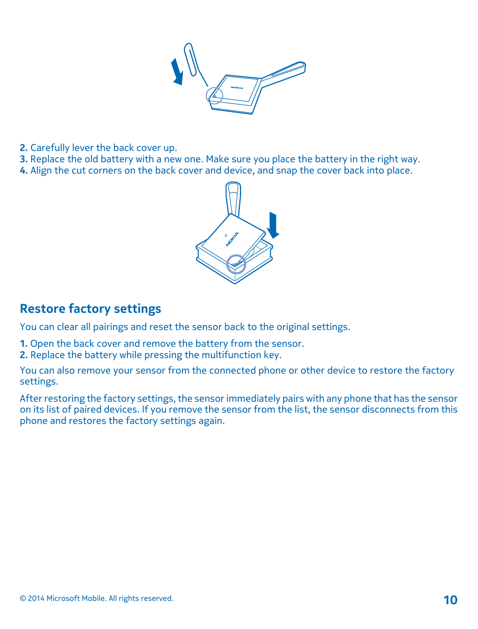

- **2.** Carefully lever the back cover up.
- **3.** Replace the old battery with a new one. Make sure you place the battery in the right way.
- **4.** Align the cut corners on the back cover and device, and snap the cover back into place.



## **Restore factory settings**

You can clear all pairings and reset the sensor back to the original settings.

- **1.** Open the back cover and remove the battery from the sensor.
- **2.** Replace the battery while pressing the multifunction key.

You can also remove your sensor from the connected phone or other device to restore the factory settings.

After restoring the factory settings, the sensor immediately pairs with any phone that has the sensor on its list of paired devices. If you remove the sensor from the list, the sensor disconnects from this phone and restores the factory settings again.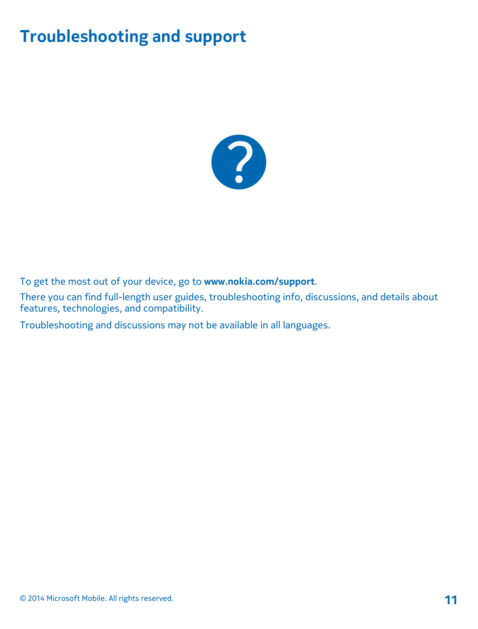# <span id="page-10-0"></span>**Troubleshooting and support**



To get the most out of your device, go to **[www.nokia.com/support](http://www.nokia.com/support)**.

There you can find full-length user guides, troubleshooting info, discussions, and details about features, technologies, and compatibility.

Troubleshooting and discussions may not be available in all languages.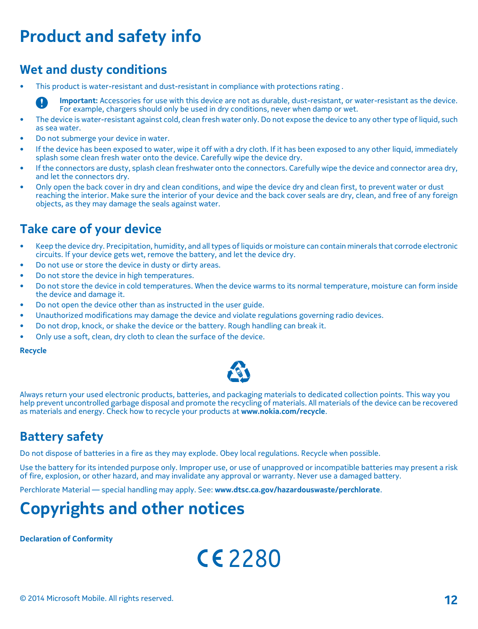# <span id="page-11-0"></span>**Product and safety info**

## **Wet and dusty conditions**

• This product is water-resistant and dust-resistant in compliance with protections rating .

**Important:** Accessories for use with this device are not as durable, dust-resistant, or water-resistant as the device. For example, chargers should only be used in dry conditions, never when damp or wet.

- The device is water-resistant against cold, clean fresh water only. Do not expose the device to any other type of liquid, such as sea water.
- Do not submerge your device in water.
- If the device has been exposed to water, wipe it off with a dry cloth. If it has been exposed to any other liquid, immediately splash some clean fresh water onto the device. Carefully wipe the device dry.
- If the connectors are dusty, splash clean freshwater onto the connectors. Carefully wipe the device and connector area dry, and let the connectors dry.
- Only open the back cover in dry and clean conditions, and wipe the device dry and clean first, to prevent water or dust reaching the interior. Make sure the interior of your device and the back cover seals are dry, clean, and free of any foreign objects, as they may damage the seals against water.

## **Take care of your device**

- Keep the device dry. Precipitation, humidity, and all types of liquids or moisture can contain minerals that corrode electronic circuits. If your device gets wet, remove the battery, and let the device dry.
- Do not use or store the device in dusty or dirty areas.
- Do not store the device in high temperatures.
- Do not store the device in cold temperatures. When the device warms to its normal temperature, moisture can form inside the device and damage it.
- Do not open the device other than as instructed in the user guide.
- Unauthorized modifications may damage the device and violate regulations governing radio devices.
- Do not drop, knock, or shake the device or the battery. Rough handling can break it.
- Only use a soft, clean, dry cloth to clean the surface of the device.

**Recycle**



Always return your used electronic products, batteries, and packaging materials to dedicated collection points. This way you help prevent uncontrolled garbage disposal and promote the recycling of materials. All materials of the device can be recovered as materials and energy. Check how to recycle your products at **[www.nokia.com/recycle](http://www.nokia.com/recycle)**.

## **Battery safety**

Do not dispose of batteries in a fire as they may explode. Obey local regulations. Recycle when possible.

Use the battery for its intended purpose only. Improper use, or use of unapproved or incompatible batteries may present a risk of fire, explosion, or other hazard, and may invalidate any approval or warranty. Never use a damaged battery.

Perchlorate Material — special handling may apply. See: **[www.dtsc.ca.gov/hazardouswaste/perchlorate](http://www.dtsc.ca.gov/hazardouswaste/perchlorate)**.

## **Copyrights and other notices**

**Declaration of Conformity**

 $CE2280$